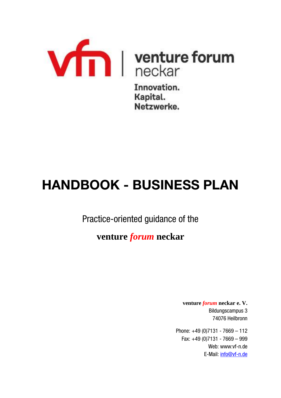

Kapital. Netzwerke.

# **HANDBOOK - BUSINESS PLAN**

Practice-oriented guidance of the

# **venture** *forum* **neckar**

**venture** *forum* **neckar e. V.** Bildungscampus 3 74076 Heilbronn

Phone: +49 (0)7131 - 7669 – 112 Fax: +49 (0)7131 - 7669 – 999 Web: www:vf-n.de E-Mail: [info@vf-n.de](mailto:info@vf-n.de)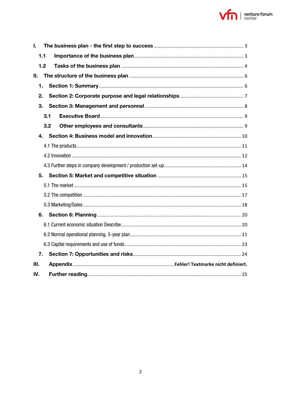

| L   |     |
|-----|-----|
| 1.1 |     |
| 1.2 |     |
| П.  |     |
| 1.  |     |
| 2.  |     |
| 3.  |     |
|     | 3.1 |
|     | 3.2 |
| 4.  |     |
|     |     |
|     |     |
|     |     |
| 5.  |     |
|     |     |
|     |     |
|     |     |
| 6.  |     |
|     |     |
|     |     |
|     |     |
| 7.  |     |
| Ш.  |     |
| IV. |     |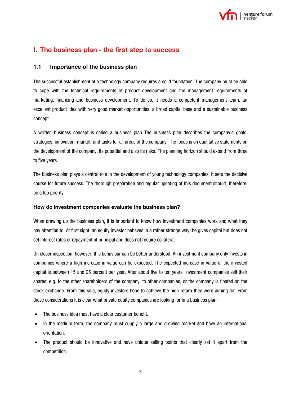

# <span id="page-2-0"></span>**I. The business plan - the first step to success**

# <span id="page-2-1"></span>**1.1 Importance of the business plan**

The successful establishment of a technology company requires a solid foundation. The company must be able to cope with the technical requirements of product development and the management requirements of marketing, financing and business development. To do so, it needs a competent management team, an excellent product idea with very good market opportunities, a broad capital base and a sustainable business concept.

A written business concept is called a business plan The business plan describes the company's goals, strategies, innovation, market, and tasks for all areas of the company. The focus is on qualitative statements on the development of the company, its potential and also its risks. The planning horizon should extend from three to five years.

The business plan plays a central role in the development of young technology companies. It sets the decisive course for future success. The thorough preparation and regular updating of this document should, therefore, be a top priority.

# **How do investment companies evaluate the business plan?**

When drawing up the business plan, it is important to know how investment companies work and what they pay attention to. At first sight, an equity investor behaves in a rather strange way: he gives capital but does not set interest rates or repayment of principal and does not require collateral.

On closer inspection, however, this behaviour can be better understood. An investment company only invests in companies where a high increase in value can be expected. The expected increase in value of the invested capital is between 15 and 25 percent per year. After about five to ten years, investment companies sell their shares; e.g. to the other shareholders of the company, to other companies, or the company is floated on the stock exchange. From this sale, equity investors hope to achieve the high return they were aiming for. From these considerations it is clear what private equity companies are looking for in a business plan:

- The business idea must have a clear customer benefit.
- In the medium term, the company must supply a large and growing market and have an international orientation.
- The product should be innovative and have unique selling points that clearly set it apart from the competition.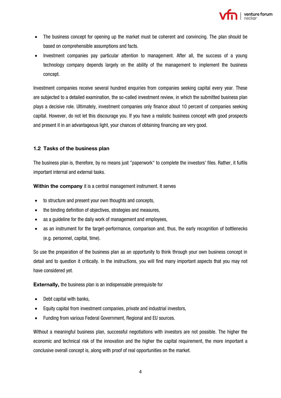

- The business concept for opening up the market must be coherent and convincing. The plan should be based on comprehensible assumptions and facts.
- Investment companies pay particular attention to management. After all, the success of a young technology company depends largely on the ability of the management to implement the business concept.

Investment companies receive several hundred enquiries from companies seeking capital every year. These are subjected to a detailed examination, the so-called investment review, in which the submitted business plan plays a decisive role. Ultimately, investment companies only finance about 10 percent of companies seeking capital. However, do not let this discourage you. If you have a realistic business concept with good prospects and present it in an advantageous light, your chances of obtaining financing are very good.

#### <span id="page-3-0"></span>**1.2 Tasks of the business plan**

The business plan is, therefore, by no means just "paperwork" to complete the investors' files. Rather, it fulfils important internal and external tasks.

**Within the company** it is a central management instrument. It serves

- to structure and present your own thoughts and concepts,
- the binding definition of objectives, strategies and measures,
- as a guideline for the daily work of management and employees,
- as an instrument for the target-performance, comparison and, thus, the early recognition of bottlenecks (e.g. personnel, capital, time).

So use the preparation of the business plan as an opportunity to think through your own business concept in detail and to question it critically. In the instructions, you will find many important aspects that you may not have considered yet.

**Externally, the business plan is an indispensable prerequisite for** 

- Debt capital with banks,
- Equity capital from investment companies, private and industrial investors,
- Funding from various Federal Government, Regional and EU sources.

Without a meaningful business plan, successful negotiations with investors are not possible. The higher the economic and technical risk of the innovation and the higher the capital requirement, the more important a conclusive overall concept is, along with proof of real opportunities on the market.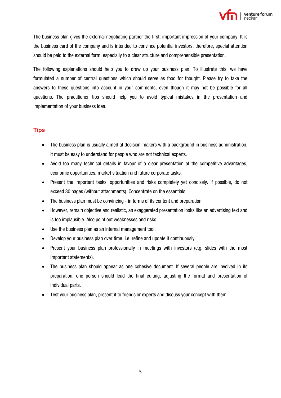

The business plan gives the external negotiating partner the first, important impression of your company. It is the business card of the company and is intended to convince potential investors, therefore, special attention should be paid to the external form, especially to a clear structure and comprehensible presentation.

The following explanations should help you to draw up your business plan. To illustrate this, we have formulated a number of central questions which should serve as food for thought. Please try to take the answers to these questions into account in your comments, even though it may not be possible for all questions. The practitioner tips should help you to avoid typical mistakes in the presentation and implementation of your business idea.

# **Tips**

- The business plan is usually aimed at decision-makers with a background in business administration. It must be easy to understand for people who are not technical experts.
- Avoid too many technical details in favour of a clear presentation of the competitive advantages, economic opportunities, market situation and future corporate tasks.
- Present the important tasks, opportunities and risks completely yet concisely. If possible, do not exceed 30 pages (without attachments). Concentrate on the essentials.
- The business plan must be convincing in terms of its content and preparation.
- However, remain objective and realistic, an exaggerated presentation looks like an advertising text and is too implausible. Also point out weaknesses and risks.
- Use the business plan as an internal management tool.
- Develop your business plan over time, i.e. refine and update it continuously.
- Present your business plan professionally in meetings with investors (e.g. slides with the most important statements).
- The business plan should appear as one cohesive document. If several people are involved in its preparation, one person should lead the final editing, adjusting the format and presentation of individual parts.
- Test your business plan; present it to friends or experts and discuss your concept with them.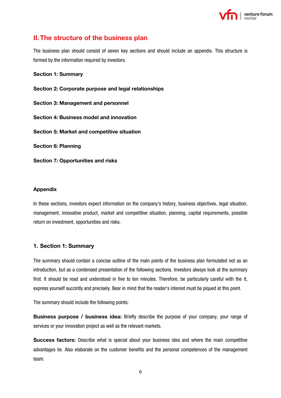

# <span id="page-5-0"></span>**II.The structure of the business plan**

The business plan should consist of seven key sections and should include an appendix. This structure is formed by the information required by investors.

#### **Section 1: Summary**

**Section 2: Corporate purpose and legal relationships Section 3: Management and personnel Section 4: Business model and innovation Section 5: Market and competitive situation Section 6: Planning**

**Section 7: Opportunities and risks**

#### **Appendix**

In these sections, investors expect information on the company's history, business objectives, legal situation, management, innovative product, market and competitive situation, planning, capital requirements, possible return on investment, opportunities and risks.

# <span id="page-5-1"></span>**1. Section 1: Summary**

The summary should contain a concise outline of the main points of the business plan formulated not as an introduction, but as a condensed presentation of the following sections. Investors always look at the summary first. It should be read and understood in five to ten minutes. Therefore, be particularly careful with the it, express yourself succintly and precisely. Bear in mind that the reader's interest must be piqued at this point.

The summary should include the following points:

**Business purpose / business idea:** Briefly describe the purpose of your company, your range of services or your innovation project as well as the relevant markets.

**Success factors:** Describe what is special about your business idea and where the main competitive advantages lie. Also elaborate on the customer benefits and the personal competences of the management team.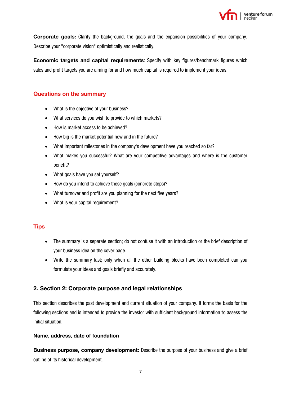

**Corporate goals:** Clarify the background, the goals and the expansion possibilities of your company. Describe your "corporate vision" optimistically and realistically.

**Economic targets and capital requirements**: Specify with key figures/benchmark figures which sales and profit targets you are aiming for and how much capital is required to implement your ideas.

# **Questions on the summary**

- What is the objective of your business?
- What services do you wish to provide to which markets?
- How is market access to be achieved?
- How big is the market potential now and in the future?
- What important milestones in the company's development have you reached so far?
- What makes you successful? What are your competitive advantages and where is the customer benefit?
- What goals have you set yourself?
- How do you intend to achieve these goals (concrete steps)?
- What turnover and profit are you planning for the next five years?
- What is your capital requirement?

# **Tips**

- The summary is a separate section; do not confuse it with an introduction or the brief description of your business idea on the cover page.
- Write the summary last; only when all the other building blocks have been completed can you formulate your ideas and goals briefly and accurately.

# <span id="page-6-0"></span>**2. Section 2: Corporate purpose and legal relationships**

This section describes the past development and current situation of your company. It forms the basis for the following sections and is intended to provide the investor with sufficient background information to assess the initial situation.

#### **Name, address, date of foundation**

**Business purpose, company development:** Describe the purpose of your business and give a brief outline of its historical development.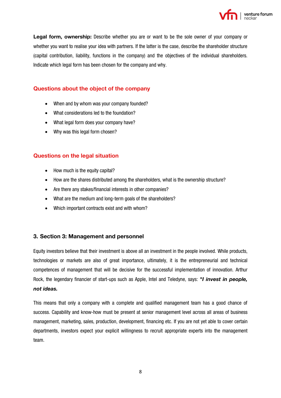

**Legal form, ownership:** Describe whether you are or want to be the sole owner of your company or whether you want to realise your idea with partners. If the latter is the case, describe the shareholder structure (capital contribution, liability, functions in the company) and the objectives of the individual shareholders. Indicate which legal form has been chosen for the company and why.

# **Questions about the object of the company**

- When and by whom was your company founded?
- What considerations led to the foundation?
- What legal form does your company have?
- Why was this legal form chosen?

# **Questions on the legal situation**

- How much is the equity capital?
- How are the shares distributed among the shareholders, what is the ownership structure?
- Are there any stakes/financial interests in other companies?
- What are the medium and long-term goals of the shareholders?
- Which important contracts exist and with whom?

# <span id="page-7-0"></span>**3. Section 3: Management and personnel**

Equity investors believe that their investment is above all an investment in the people involved. While products, technologies or markets are also of great importance, ultimately, it is the entrepreneurial and technical competences of management that will be decisive for the successful implementation of innovation. Arthur Rock, the legendary financier of start-ups such as Apple, Intel and Teledyne, says: *"I invest in people, not ideas.* 

This means that only a company with a complete and qualified management team has a good chance of success. Capability and know-how must be present at senior management level across all areas of business management, marketing, sales, production, development, financing etc. If you are not yet able to cover certain departments, investors expect your explicit willingness to recruit appropriate experts into the management team.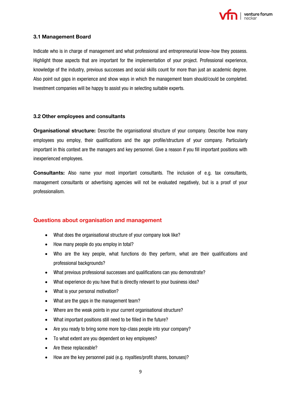

#### <span id="page-8-0"></span>**3.1 Management Board**

Indicate who is in charge of management and what professional and entrepreneurial know-how they possess. Highlight those aspects that are important for the implementation of your project. Professional experience, knowledge of the industry, previous successes and social skills count for more than just an academic degree. Also point out gaps in experience and show ways in which the management team should/could be completed. Investment companies will be happy to assist you in selecting suitable experts.

#### <span id="page-8-1"></span>**3.2 Other employees and consultants**

**Organisational structure:** Describe the organisational structure of your company. Describe how many employees you employ, their qualifications and the age profile/structure of your company. Particularly important in this context are the managers and key personnel. Give a reason if you fill important positions with inexperienced employees.

**Consultants:** Also name your most important consultants. The inclusion of e.g. tax consultants, management consultants or advertising agencies will not be evaluated negatively, but is a proof of your professionalism.

# **Questions about organisation and management**

- What does the organisational structure of your company look like?
- How many people do you employ in total?
- Who are the key people, what functions do they perform, what are their qualifications and professional backgrounds?
- What previous professional successes and qualifications can you demonstrate?
- What experience do you have that is directly relevant to your business idea?
- What is your personal motivation?
- What are the gaps in the management team?
- Where are the weak points in your current organisational structure?
- What important positions still need to be filled in the future?
- Are you ready to bring some more top-class people into your company?
- To what extent are you dependent on key employees?
- Are these replaceable?
- How are the key personnel paid (e.g. royalties/profit shares, bonuses)?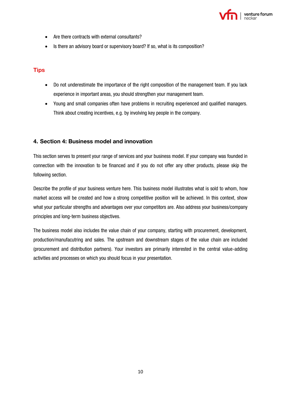

- Are there contracts with external consultants?
- Is there an advisory board or supervisory board? If so, what is its composition?

# **Tips**

- Do not underestimate the importance of the right composition of the management team. If you lack experience in important areas, you should strengthen your management team.
- Young and small companies often have problems in recruiting experienced and qualified managers. Think about creating incentives, e.g. by involving key people in the company.

# <span id="page-9-0"></span>**4. Section 4: Business model and innovation**

This section serves to present your range of services and your business model. If your company was founded in connection with the innovation to be financed and if you do not offer any other products, please skip the following section.

Describe the profile of your business venture here. This business model illustrates what is sold to whom, how market access will be created and how a strong competitive position will be achieved. In this context, show what your particular strengths and advantages over your competitors are. Also address your business/company principles and long-term business objectives.

The business model also includes the value chain of your company, starting with procurement, development, production/manufacutring and sales. The upstream and downstream stages of the value chain are included (procurement and distribution partners). Your investors are primarily interested in the central value-adding activities and processes on which you should focus in your presentation.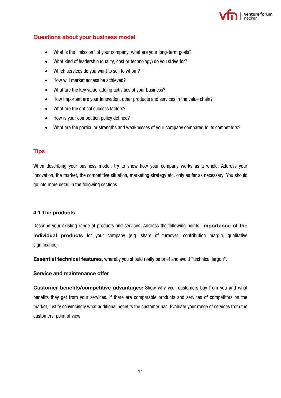

# **Questions about your business model**

- What is the "mission" of your company, what are your long-term goals?
- What kind of leadership (quality, cost or technology) do you strive for?
- Which services do you want to sell to whom?
- How will market access be achieved?
- What are the key value-adding activities of your business?
- How important are your innovation, other products and services in the value chain?
- What are the critical success factors?
- How is your competition policy defined?
- What are the particular strengths and weaknesses of your company compared to its competitors?

# **Tips**

When describing your business model, try to show how your company works as a whole. Address your innovation, the market, the competitive situation, marketing strategy etc. only as far as necessary. You should go into more detail in the following sections.

# <span id="page-10-0"></span>**4.1 The products**

Describe your existing range of products and services. Address the following points: **importance of the individual products** for your company (e.g. share of turnover, contribution margin, qualitative significance).

**Essential technical features**, whereby you should really be brief and avoid "technical jargon".

#### **Service and maintenance offer**

**Customer benefits/competitive advantages:** Show why your customers buy from you and what benefits they get from your services. If there are comparable products and services of competitors on the market, justify convincingly what additional benefits the customer has. Evaluate your range of services from the customers' point of view.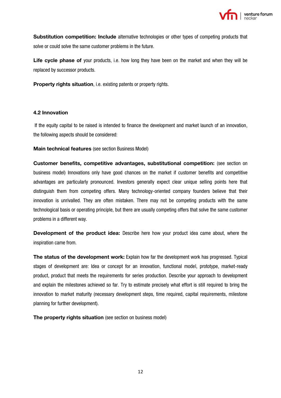

**Substitution competition: Include** alternative technologies or other types of competing products that solve or could solve the same customer problems in the future.

**Life cycle phase of** your products, i.e. how long they have been on the market and when they will be replaced by successor products.

**Property rights situation**, i.e. existing patents or property rights.

#### <span id="page-11-0"></span>**4.2 Innovation**

If the equity capital to be raised is intended to finance the development and market launch of an innovation, the following aspects should be considered:

**Main technical features** (see section Business Model)

**Customer benefits, competitive advantages, substitutional competition:** (see section on business model) Innovations only have good chances on the market if customer benefits and competitive advantages are particularly pronounced. Investors generally expect clear unique selling points here that distinguish them from competing offers. Many technology-oriented company founders believe that their innovation is unrivalled. They are often mistaken. There may not be competing products with the same technological basis or operating principle, but there are usually competing offers that solve the same customer problems in a different way.

**Development of the product idea:** Describe here how your product idea came about, where the inspiration came from.

**The status of the development work:** Explain how far the development work has progressed. Typical stages of development are: Idea or concept for an innovation, functional model, prototype, market-ready product, product that meets the requirements for series production. Describe your approach to development and explain the milestones achieved so far. Try to estimate precisely what effort is still required to bring the innovation to market maturity (necessary development steps, time required, capital requirements, milestone planning for further development).

**The property rights situation** (see section on business model)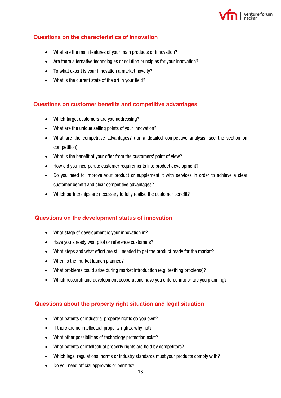

# **Questions on the characteristics of innovation**

- What are the main features of your main products or innovation?
- Are there alternative technologies or solution principles for your innovation?
- To what extent is your innovation a market novelty?
- What is the current state of the art in your field?

# **Questions on customer benefits and competitive advantages**

- Which target customers are you addressing?
- What are the unique selling points of your innovation?
- What are the competitive advantages? (for a detailed competitive analysis, see the section on competition)
- What is the benefit of your offer from the customers' point of view?
- How did you incorporate customer requirements into product development?
- Do you need to improve your product or supplement it with services in order to achieve a clear customer benefit and clear competitive advantages?
- Which partnerships are necessary to fully realise the customer benefit?

# **Questions on the development status of innovation**

- What stage of development is your innovation in?
- Have you already won pilot or reference customers?
- What steps and what effort are still needed to get the product ready for the market?
- When is the market launch planned?
- What problems could arise during market introduction (e.g. teething problems)?
- Which research and development cooperations have you entered into or are you planning?

# **Questions about the property right situation and legal situation**

- What patents or industrial property rights do you own?
- If there are no intellectual property rights, why not?
- What other possibilities of technology protection exist?
- What patents or intellectual property rights are held by competitors?
- Which legal regulations, norms or industry standards must your products comply with?
- Do you need official approvals or permits?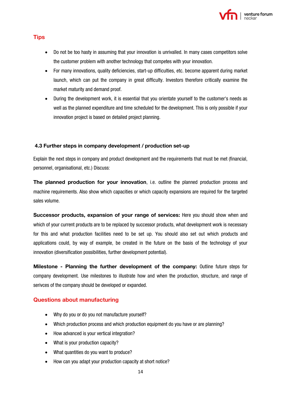

# **Tips**

- Do not be too hasty in assuming that your innovation is unrivalled. In many cases competitors solve the customer problem with another technology that competes with your innovation.
- For many innovations, quality deficiencies, start-up difficulties, etc. become apparent during market launch, which can put the company in great difficulty. Investors therefore critically examine the market maturity and demand proof.
- During the development work, it is essential that you orientate yourself to the customer's needs as well as the planned expenditure and time scheduled for the development. This is only possible if your innovation project is based on detailed project planning.

# <span id="page-13-0"></span>**4.3 Further steps in company development / production set-up**

Explain the next steps in company and product development and the requirements that must be met (financial, personnel, organisational, etc.) Discuss:

**The planned production for your innovation**, i.e. outline the planned production process and machine requirements. Also show which capacities or which capacity expansions are required for the targeted sales volume.

**Successor products, expansion of your range of services:** Here you should show when and which of your current products are to be replaced by successor products, what development work is necessary for this and what production facilities need to be set up. You should also set out which products and applications could, by way of example, be created in the future on the basis of the technology of your innovation (diversification possibilities, further development potential).

**Milestone - Planning the further development of the company:** Outline future steps for company development. Use milestones to illustrate how and when the production, structure, and range of serivces of the company should be developed or expanded.

# **Questions about manufacturing**

- Why do you or do you not manufacture yourself?
- Which production process and which production equipment do you have or are planning?
- How advanced is your vertical integration?
- What is your production capacity?
- What quantities do you want to produce?
- How can you adapt your production capacity at short notice?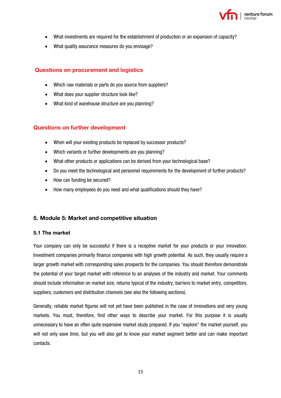

- What investments are required for the establishment of production or an expansion of capacity?
- What quality assurance measures do you envisage?

# **Questions on procurement and logistics**

- Which raw materials or parts do you source from suppliers?
- What does your supplier structure look like?
- What kind of warehouse structure are you planning?

# **Questions on further development**

- When will your existing products be replaced by successor products?
- Which variants or further developments are you planning?
- What other products or applications can be derived from your technological base?
- Do you meet the technological and personnel requirements for the development of further products?
- How can funding be secured?
- How many employees do you need and what qualifications should they have?

# <span id="page-14-0"></span>**5. Module 5: Market and competitive situation**

#### <span id="page-14-1"></span>**5.1 The market**

Your company can only be successful if there is a receptive market for your products or your innovation. Investment companies primarily finance companies with high growth potential. As such, they usually require a larger growth market with corresponding sales prospects for the companies. You should therefore demonstrate the potential of your target market with reference to an analyses of the industry and market. Your comments should include information on market size, returns typical of the industry, barriers to market entry, competitors, suppliers, customers and distribution channels (see also the following sections).

Generally, reliable market figures will not yet have been published in the case of innovations and very young markets. You must, therefore, find other ways to describe your market. For this purpose it is usually unnecessary to have an often quite expensive market study prepared. If you "explore" the market yourself, you will not only save time, but you will also get to know your market segment better and can make important contacts.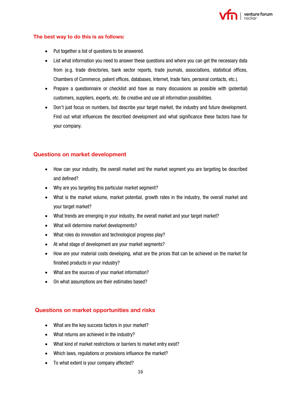

#### **The best way to do this is as follows:**

- Put together a list of questions to be answered.
- List what information you need to answer these questions and where you can get the necessary data from (e.g. trade directories, bank sector reports, trade journals, associations, statistical offices, Chambers of Commerce, patent offices, databases, Internet, trade fairs, personal contacts, etc.).
- Prepare a questionnaire or checklist and have as many discussions as possible with (potential) customers, suppliers, experts, etc. Be creative and use all information possibilities.
- Don't just focus on numbers, but describe your target market, the industry and future development. Find out what influences the described development and what significance these factors have for your company.

# **Questions on market development**

- How can your industry, the overall market and the market segment you are targeting be described and defined?
- Why are you targeting this particular market segment?
- What is the market volume, market potential, growth rates in the industry, the overall market and your target market?
- What trends are emerging in your industry, the overall market and your target market?
- What will determine market developments?
- What roles do innovation and technological progress play?
- At what stage of development are your market segments?
- How are your material costs developing, what are the prices that can be achieved on the market for finished products in your industry?
- What are the sources of your market information?
- On what assumptions are their estimates based?

# **Questions on market opportunities and risks**

- What are the key success factors in your market?
- What returns are achieved in the industry?
- What kind of market restrictions or barriers to market entry exist?
- Which laws, regulations or provisions influence the market?
- To what extent is your company affected?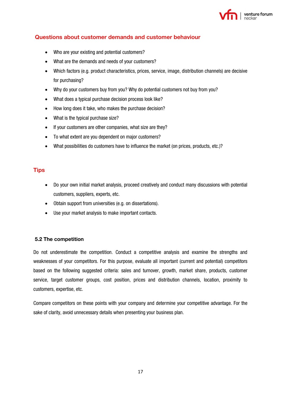

# **Questions about customer demands and customer behaviour**

- Who are your existing and potential customers?
- What are the demands and needs of your customers?
- Which factors (e.g. product characteristics, prices, service, image, distribution channels) are decisive for purchasing?
- Why do your customers buy from you? Why do potential customers not buy from you?
- What does a typical purchase decision process look like?
- How long does it take, who makes the purchase decision?
- What is the typical purchase size?
- If your customers are other companies, what size are they?
- To what extent are you dependent on major customers?
- What possibilities do customers have to influence the market (on prices, products, etc.)?

# **Tips**

- Do your own initial market analysis, proceed creatively and conduct many discussions with potential customers, suppliers, experts, etc.
- Obtain support from universities (e.g. on dissertations).
- Use your market analysis to make important contacts.

# <span id="page-16-0"></span>**5.2 The competition**

Do not underestimate the competition. Conduct a competitive analysis and examine the strengths and weaknesses of your competitors. For this purpose, evaluate all important (current and potential) competitors based on the following suggested criteria: sales and turnover, growth, market share, products, customer service, target customer groups, cost position, prices and distribution channels, location, proximity to customers, expertise, etc.

Compare competitors on these points with your company and determine your competitive advantage. For the sake of clarity, avoid unnecessary details when presenting your business plan.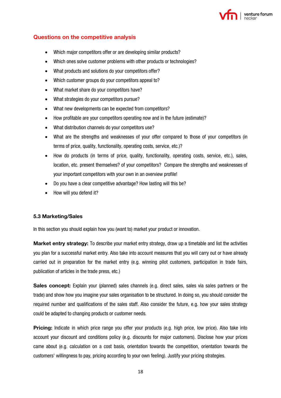

#### **Questions on the competitive analysis**

- Which major competitors offer or are developing similar products?
- Which ones solve customer problems with other products or technologies?
- What products and solutions do your competitors offer?
- Which customer groups do your competitors appeal to?
- What market share do your competitors have?
- What strategies do your competitors pursue?
- What new developments can be expected from competitors?
- How profitable are your competitors operating now and in the future (estimate)?
- What distribution channels do your competitors use?
- What are the strengths and weaknesses of your offer compared to those of your competitors (in terms of price, quality, functionality, operating costs, service, etc.)?
- How do products (in terms of price, quality, functionality, operating costs, service, etc.), sales, location, etc. present themselves? of your competitors? Compare the strengths and weaknesses of your important competitors with your own in an overview profile!
- Do you have a clear competitive advantage? How lasting will this be?
- How will you defend it?

#### <span id="page-17-0"></span>**5.3 Marketing/Sales**

In this section you should explain how you (want to) market your product or innovation.

**Market entry strategy:** To describe your market entry strategy, draw up a timetable and list the activities you plan for a successful market entry. Also take into account measures that you will carry out or have already carried out in preparation for the market entry (e.g. winning pilot customers, participation in trade fairs, publication of articles in the trade press, etc.)

**Sales concept:** Explain your (planned) sales channels (e.g. direct sales, sales via sales partners or the trade) and show how you imagine your sales organisation to be structured. In doing so, you should consider the required number and qualifications of the sales staff. Also consider the future, e.g. how your sales strategy could be adapted to changing products or customer needs.

**Pricing:** Indicate in which price range you offer your products (e.g. high price, low price). Also take into account your discount and conditions policy (e.g. discounts for major customers). Disclose how your prices came about (e.g. calculation on a cost basis, orientation towards the competition, orientation towards the customers' willingness to pay, pricing according to your own feeling). Justify your pricing strategies.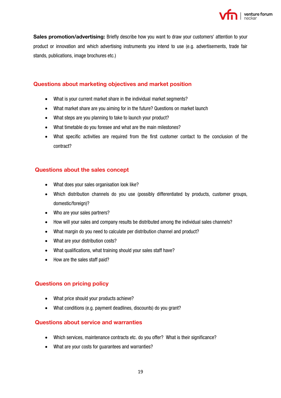

**Sales promotion/advertising:** Briefly describe how you want to draw your customers' attention to your product or innovation and which advertising instruments you intend to use (e.g. advertisements, trade fair stands, publications, image brochures etc.)

# **Questions about marketing objectives and market position**

- What is your current market share in the individual market segments?
- What market share are you aiming for in the future? Questions on market launch
- What steps are you planning to take to launch your product?
- What timetable do you foresee and what are the main milestones?
- What specific activities are required from the first customer contact to the conclusion of the contract?

# **Questions about the sales concept**

- What does your sales organisation look like?
- Which distribution channels do you use (possibly differentiated by products, customer groups, domestic/foreign)?
- Who are your sales partners?
- How will your sales and company results be distributed among the individual sales channels?
- What margin do you need to calculate per distribution channel and product?
- What are your distribution costs?
- What qualifications, what training should your sales staff have?
- How are the sales staff paid?

# **Questions on pricing policy**

- What price should your products achieve?
- What conditions (e.g. payment deadlines, discounts) do you grant?

# **Questions about service and warranties**

- Which services, maintenance contracts etc. do you offer? What is their significance?
- What are your costs for guarantees and warranties?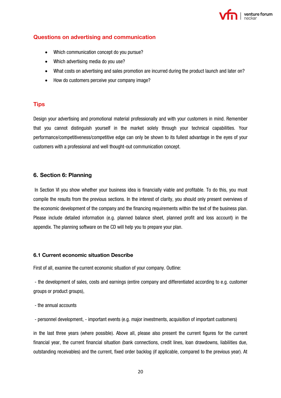

# **Questions on advertising and communication**

- Which communication concept do you pursue?
- Which advertising media do you use?
- What costs on advertising and sales promotion are incurred during the product launch and later on?
- How do customers perceive your company image?

#### **Tips**

Design your advertising and promotional material professionally and with your customers in mind. Remember that you cannot distinguish yourself in the market solely through your technical capabilities. Your performance/competitiveness/competitive edge can only be shown to its fullest advantage in the eyes of your customers with a professional and well thought-out communication concept.

#### <span id="page-19-0"></span>**6. Section 6: Planning**

In Section VI you show whether your business idea is financially viable and profitable. To do this, you must compile the results from the previous sections. In the interest of clarity, you should only present overviews of the economic development of the company and the financing requirements within the text of the business plan. Please include detailed information (e.g. planned balance sheet, planned profit and loss account) in the appendix. The planning software on the CD will help you to prepare your plan.

#### <span id="page-19-1"></span>**6.1 Current economic situation Describe**

First of all, examine the current economic situation of your company. Outline:

- the development of sales, costs and earnings (entire company and differentiated according to e.g. customer groups or product groups),

- the annual accounts

- personnel development, - important events (e.g. major investments, acquisition of important customers)

in the last three years (where possible). Above all, please also present the current figures for the current financial year, the current financial situation (bank connections, credit lines, loan drawdowns, liabilities due, outstanding receivables) and the current, fixed order backlog (if applicable, compared to the previous year). At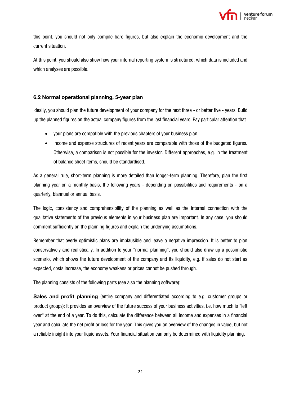

this point, you should not only compile bare figures, but also explain the economic development and the current situation.

At this point, you should also show how your internal reporting system is structured, which data is included and which analyses are possible.

# <span id="page-20-0"></span>**6.2 Normal operational planning, 5-year plan**

Ideally, you should plan the future development of your company for the next three - or better five - years. Build up the planned figures on the actual company figures from the last financial years. Pay particular attention that

- your plans are compatible with the previous chapters of your business plan,
- income and expense structures of recent years are comparable with those of the budgeted figures. Otherwise, a comparison is not possible for the investor. Different approaches, e.g. in the treatment of balance sheet items, should be standardised.

As a general rule, short-term planning is more detailed than longer-term planning. Therefore, plan the first planning year on a monthly basis, the following years - depending on possibilities and requirements - on a quarterly, biannual or annual basis.

The logic, consistency and comprehensibility of the planning as well as the internal connection with the qualitative statements of the previous elements in your business plan are important. In any case, you should comment sufficiently on the planning figures and explain the underlying assumptions.

Remember that overly optimistic plans are implausible and leave a negative impression. It is better to plan conservatively and realistically. In addition to your "normal planning", you should also draw up a pessimistic scenario, which shows the future development of the company and its liquidity, e.g. if sales do not start as expected, costs increase, the economy weakens or prices cannot be pushed through.

The planning consists of the following parts (see also the planning software):

**Sales and profit planning** (entire company and differentiated according to e.g. customer groups or product groups): It provides an overview of the future success of your business activities, i.e. how much is "left over" at the end of a year. To do this, calculate the difference between all income and expenses in a financial year and calculate the net profit or loss for the year. This gives you an overview of the changes in value, but not a reliable insight into your liquid assets. Your financial situation can only be determined with liquidity planning.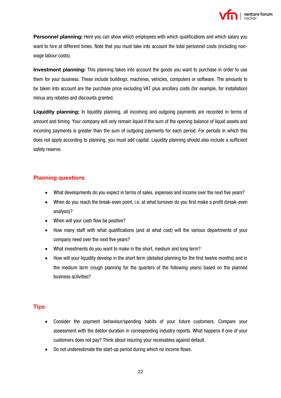

**Personnel planning:** Here you can show which employees with which qualifications and which salary you want to hire at different times. Note that you must take into account the total personnel costs (including nonwage labour costs).

**Investment planning:** This planning takes into account the goods you want to purchase in order to use them for your business. These include buildings, machines, vehicles, computers or software. The amounts to be taken into account are the purchase price excluding VAT plus ancillary costs (for example, for installation) minus any rebates and discounts granted.

**Liquidity planning:** In liquidity planning, all incoming and outgoing payments are recorded in terms of amount and timing. Your company will only remain liquid if the sum of the opening balance of liquid assets and incoming payments is greater than the sum of outgoing payments for each period. For periods in which this does not apply according to planning, you must add capital. Liquidity planning should also include a sufficient safety reserve.

# **Planning questions**

- What developments do you expect in terms of sales, expenses and income over the next five years?
- When do you reach the break-even point, i.e. at what turnover do you first make a profit (break-even analysis)?
- When will your cash flow be positive?
- How many staff with what qualifications (and at what cost) will the various departments of your company need over the next five years?
- What investments do you want to make in the short, medium and long term?
- How will your liquidity develop in the short term (detailed planning for the first twelve months) and in the medium term (rough planning for the quarters of the following years) based on the planned business activities?

# **Tips**

- Consider the payment behaviour/spending habits of your future customers. Compare your assessment with the debtor duration in corresponding industry reports. What happens if one of your customers does not pay? Think about insuring your receivables against default.
- Do not underestimate the start-up period during which no income flows.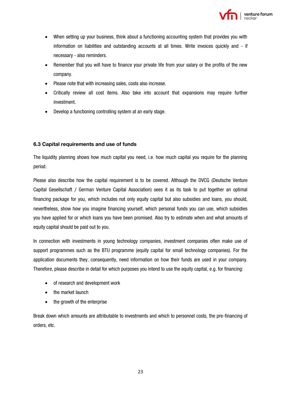

- When setting up your business, think about a functioning accounting system that provides you with information on liabilities and outstanding accounts at all times. Write invoices quickly and - if necessary - also reminders.
- Remember that you will have to finance your private life from your salary or the profits of the new company.
- Please note that with increasing sales, costs also increase.
- Critically review all cost items. Also take into account that expansions may require further investment.
- Develop a functioning controlling system at an early stage.

# <span id="page-22-0"></span>**6.3 Capital requirements and use of funds**

The liquidity planning shows how much capital you need, i.e. how much capital you require for the planning period.

Please also describe how the capital requirement is to be covered. Although the DVCG (Deutsche Venture Capital Gesellschaft / German Venture Capital Association) sees it as its task to put together an optimal financing package for you, which includes not only equity capital but also subsidies and loans, you should, nevertheless, show how you imagine financing yourself, which personal funds you can use, which subsidies you have applied for or which loans you have been promised. Also try to estimate when and what amounts of equity capital should be paid out to you.

In connection with investments in young technology companies, investment companies often make use of support programmes such as the BTU programme (equity capital for small technology companies). For the application documents they, consequently, need information on how their funds are used in your company. Therefore, please describe in detail for which purposes you intend to use the equity capital, e.g. for financing:

- of research and development work
- the market launch
- the growth of the enterprise

Break down which amounts are attributable to investments and which to personnel costs, the pre-financing of orders, etc.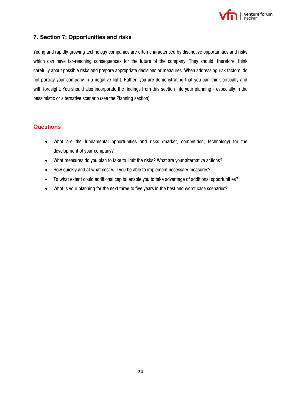

# <span id="page-23-0"></span>**7. Section 7: Opportunities and risks**

Young and rapidly growing technology companies are often characterised by distinctive opportunities and risks which can have far-reaching consequences for the future of the company. They should, therefore, think carefully about possible risks and prepare appropriate decisions or measures. When addressing risk factors, do not portray your company in a negative light. Rather, you are demonstrating that you can think critically and with foresight. You should also incorporate the findings from this section into your planning - especially in the pessimistic or alternative scenario (see the Planning section).

# **Questions**

- What are the fundamental opportunities and risks (market, competition, technology) for the development of your company?
- What measures do you plan to take to limit the risks? What are your alternative actions?
- How quickly and at what cost will you be able to implement necessary measures?
- To what extent could additional capital enable you to take advantage of additional opportunities?
- What is your planning for the next three to five years in the best and worst case scenarios?